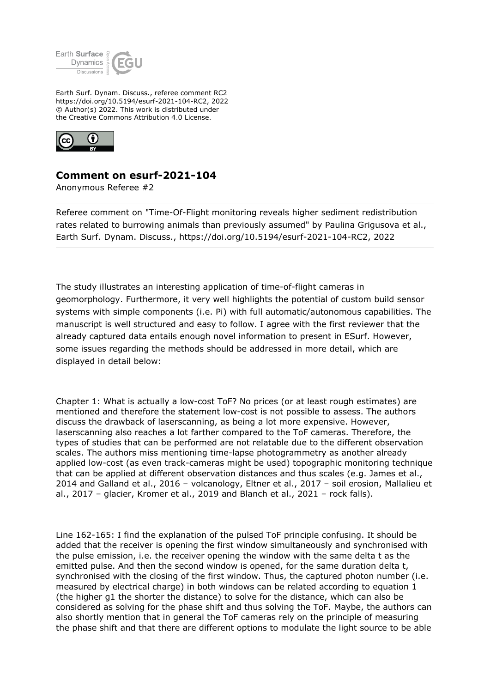

Earth Surf. Dynam. Discuss., referee comment RC2 https://doi.org/10.5194/esurf-2021-104-RC2, 2022 © Author(s) 2022. This work is distributed under the Creative Commons Attribution 4.0 License.



## **Comment on esurf-2021-104**

Anonymous Referee #2

Referee comment on "Time-Of-Flight monitoring reveals higher sediment redistribution rates related to burrowing animals than previously assumed" by Paulina Grigusova et al., Earth Surf. Dynam. Discuss., https://doi.org/10.5194/esurf-2021-104-RC2, 2022

The study illustrates an interesting application of time-of-flight cameras in geomorphology. Furthermore, it very well highlights the potential of custom build sensor systems with simple components (i.e. Pi) with full automatic/autonomous capabilities. The manuscript is well structured and easy to follow. I agree with the first reviewer that the already captured data entails enough novel information to present in ESurf. However, some issues regarding the methods should be addressed in more detail, which are displayed in detail below:

Chapter 1: What is actually a low-cost ToF? No prices (or at least rough estimates) are mentioned and therefore the statement low-cost is not possible to assess. The authors discuss the drawback of laserscanning, as being a lot more expensive. However, laserscanning also reaches a lot farther compared to the ToF cameras. Therefore, the types of studies that can be performed are not relatable due to the different observation scales. The authors miss mentioning time-lapse photogrammetry as another already applied low-cost (as even track-cameras might be used) topographic monitoring technique that can be applied at different observation distances and thus scales (e.g. James et al., 2014 and Galland et al., 2016 – volcanology, Eltner et al., 2017 – soil erosion, Mallalieu et al., 2017 – glacier, Kromer et al., 2019 and Blanch et al., 2021 – rock falls).

Line 162-165: I find the explanation of the pulsed ToF principle confusing. It should be added that the receiver is opening the first window simultaneously and synchronised with the pulse emission, i.e. the receiver opening the window with the same delta t as the emitted pulse. And then the second window is opened, for the same duration delta t, synchronised with the closing of the first window. Thus, the captured photon number (i.e. measured by electrical charge) in both windows can be related according to equation 1 (the higher g1 the shorter the distance) to solve for the distance, which can also be considered as solving for the phase shift and thus solving the ToF. Maybe, the authors can also shortly mention that in general the ToF cameras rely on the principle of measuring the phase shift and that there are different options to modulate the light source to be able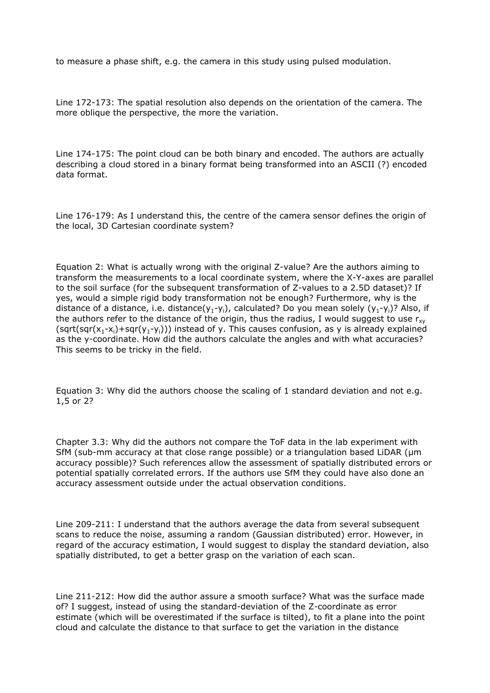to measure a phase shift, e.g. the camera in this study using pulsed modulation.

Line 172-173: The spatial resolution also depends on the orientation of the camera. The more oblique the perspective, the more the variation.

Line 174-175: The point cloud can be both binary and encoded. The authors are actually describing a cloud stored in a binary format being transformed into an ASCII (?) encoded data format.

Line 176-179: As I understand this, the centre of the camera sensor defines the origin of the local, 3D Cartesian coordinate system?

Equation 2: What is actually wrong with the original Z-value? Are the authors aiming to transform the measurements to a local coordinate system, where the X-Y-axes are parallel to the soil surface (for the subsequent transformation of Z-values to a 2.5D dataset)? If yes, would a simple rigid body transformation not be enough? Furthermore, why is the distance of a distance, i.e. distance( $y_1-y_i$ ), calculated? Do you mean solely ( $y_1-y_i$ )? Also, if the authors refer to the distance of the origin, thus the radius, I would suggest to use  $r_{xy}$ (sqrt(sqr(x<sub>1</sub>-x<sub>i</sub>)+sqr(y<sub>1</sub>-y<sub>i</sub>))) instead of y. This causes confusion, as y is already explained as the y-coordinate. How did the authors calculate the angles and with what accuracies? This seems to be tricky in the field.

Equation 3: Why did the authors choose the scaling of 1 standard deviation and not e.g. 1,5 or 2?

Chapter 3.3: Why did the authors not compare the ToF data in the lab experiment with SfM (sub-mm accuracy at that close range possible) or a triangulation based LiDAR (µm accuracy possible)? Such references allow the assessment of spatially distributed errors or potential spatially correlated errors. If the authors use SfM they could have also done an accuracy assessment outside under the actual observation conditions.

Line 209-211: I understand that the authors average the data from several subsequent scans to reduce the noise, assuming a random (Gaussian distributed) error. However, in regard of the accuracy estimation, I would suggest to display the standard deviation, also spatially distributed, to get a better grasp on the variation of each scan.

Line 211-212: How did the author assure a smooth surface? What was the surface made of? I suggest, instead of using the standard-deviation of the Z-coordinate as error estimate (which will be overestimated if the surface is tilted), to fit a plane into the point cloud and calculate the distance to that surface to get the variation in the distance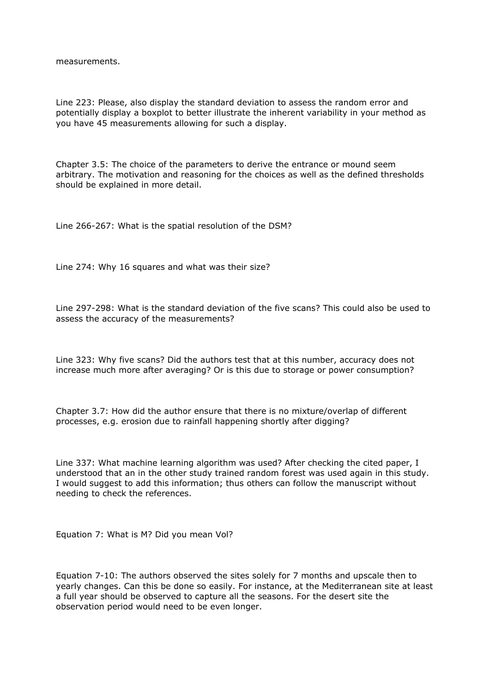measurements.

Line 223: Please, also display the standard deviation to assess the random error and potentially display a boxplot to better illustrate the inherent variability in your method as you have 45 measurements allowing for such a display.

Chapter 3.5: The choice of the parameters to derive the entrance or mound seem arbitrary. The motivation and reasoning for the choices as well as the defined thresholds should be explained in more detail.

Line 266-267: What is the spatial resolution of the DSM?

Line 274: Why 16 squares and what was their size?

Line 297-298: What is the standard deviation of the five scans? This could also be used to assess the accuracy of the measurements?

Line 323: Why five scans? Did the authors test that at this number, accuracy does not increase much more after averaging? Or is this due to storage or power consumption?

Chapter 3.7: How did the author ensure that there is no mixture/overlap of different processes, e.g. erosion due to rainfall happening shortly after digging?

Line 337: What machine learning algorithm was used? After checking the cited paper, I understood that an in the other study trained random forest was used again in this study. I would suggest to add this information; thus others can follow the manuscript without needing to check the references.

Equation 7: What is M? Did you mean Vol?

Equation 7-10: The authors observed the sites solely for 7 months and upscale then to yearly changes. Can this be done so easily. For instance, at the Mediterranean site at least a full year should be observed to capture all the seasons. For the desert site the observation period would need to be even longer.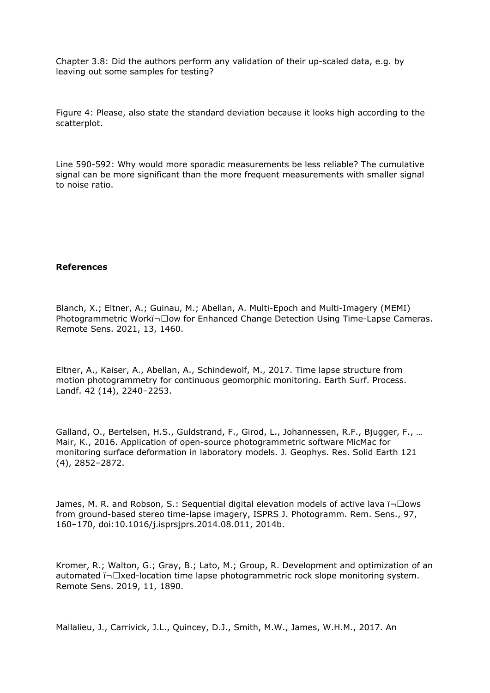Chapter 3.8: Did the authors perform any validation of their up-scaled data, e.g. by leaving out some samples for testing?

Figure 4: Please, also state the standard deviation because it looks high according to the scatterplot.

Line 590-592: Why would more sporadic measurements be less reliable? The cumulative signal can be more significant than the more frequent measurements with smaller signal to noise ratio.

## **References**

Blanch, X.; Eltner, A.; Guinau, M.; Abellan, A. Multi-Epoch and Multi-Imagery (MEMI) Photogrammetric Workï- $\square$ ow for Enhanced Change Detection Using Time-Lapse Cameras. Remote Sens. 2021, 13, 1460.

Eltner, A., Kaiser, A., Abellan, A., Schindewolf, M., 2017. Time lapse structure from motion photogrammetry for continuous geomorphic monitoring. Earth Surf. Process. Landf. 42 (14), 2240–2253.

Galland, O., Bertelsen, H.S., Guldstrand, F., Girod, L., Johannessen, R.F., Bjugger, F., … Mair, K., 2016. Application of open-source photogrammetric software MicMac for monitoring surface deformation in laboratory models. J. Geophys. Res. Solid Earth 121 (4), 2852–2872.

James, M. R. and Robson, S.: Sequential digital elevation models of active lava  $\overline{\mathsf{I}}$   $\Box$ ows from ground-based stereo time-lapse imagery, ISPRS J. Photogramm. Rem. Sens., 97, 160–170, doi:10.1016/j.isprsjprs.2014.08.011, 2014b.

Kromer, R.; Walton, G.; Gray, B.; Lato, M.; Group, R. Development and optimization of an automated ï¬ $\square$ xed-location time lapse photogrammetric rock slope monitoring system. Remote Sens. 2019, 11, 1890.

Mallalieu, J., Carrivick, J.L., Quincey, D.J., Smith, M.W., James, W.H.M., 2017. An